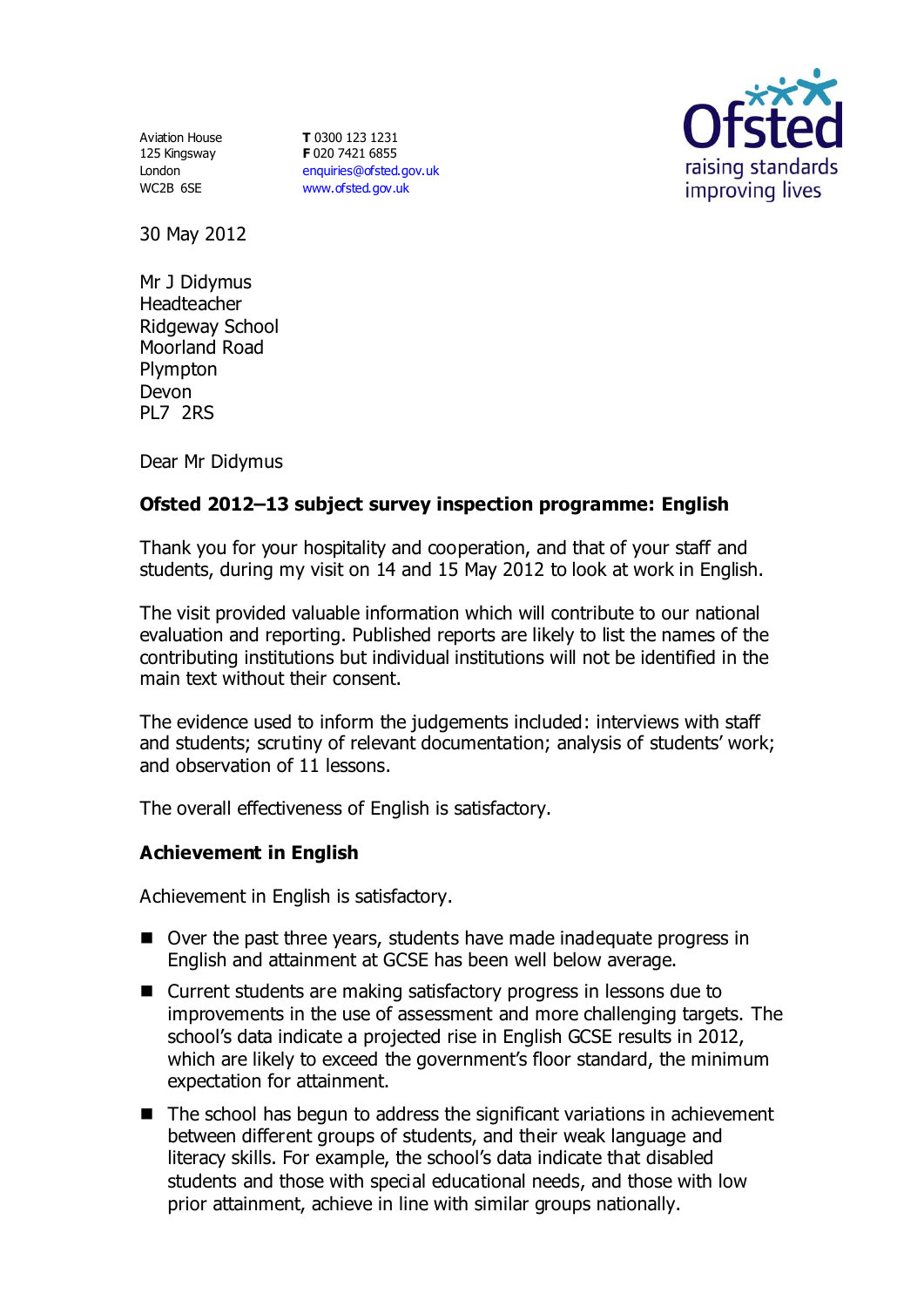Aviation House 125 Kingsway London WC2B 6SE

**T** 0300 123 1231 **F** 020 7421 6855 [enquiries@ofsted.gov.uk](mailto:enquiries@ofsted.gov.uk) [www.ofsted.gov.uk](http://www.ofsted.gov.uk/)



30 May 2012

Mr J Didymus Headteacher Ridgeway School Moorland Road Plympton Devon PL7 2RS

Dear Mr Didymus

# **Ofsted 2012–13 subject survey inspection programme: English**

Thank you for your hospitality and cooperation, and that of your staff and students, during my visit on 14 and 15 May 2012 to look at work in English.

The visit provided valuable information which will contribute to our national evaluation and reporting. Published reports are likely to list the names of the contributing institutions but individual institutions will not be identified in the main text without their consent.

The evidence used to inform the judgements included: interviews with staff and students; scrutiny of relevant documentation; analysis of students' work; and observation of 11 lessons.

The overall effectiveness of English is satisfactory.

### **Achievement in English**

Achievement in English is satisfactory.

- Over the past three years, students have made inadequate progress in English and attainment at GCSE has been well below average.
- Current students are making satisfactory progress in lessons due to improvements in the use of assessment and more challenging targets. The school's data indicate a projected rise in English GCSE results in 2012, which are likely to exceed the government's floor standard, the minimum expectation for attainment.
- The school has begun to address the significant variations in achievement between different groups of students, and their weak language and literacy skills. For example, the school's data indicate that disabled students and those with special educational needs, and those with low prior attainment, achieve in line with similar groups nationally.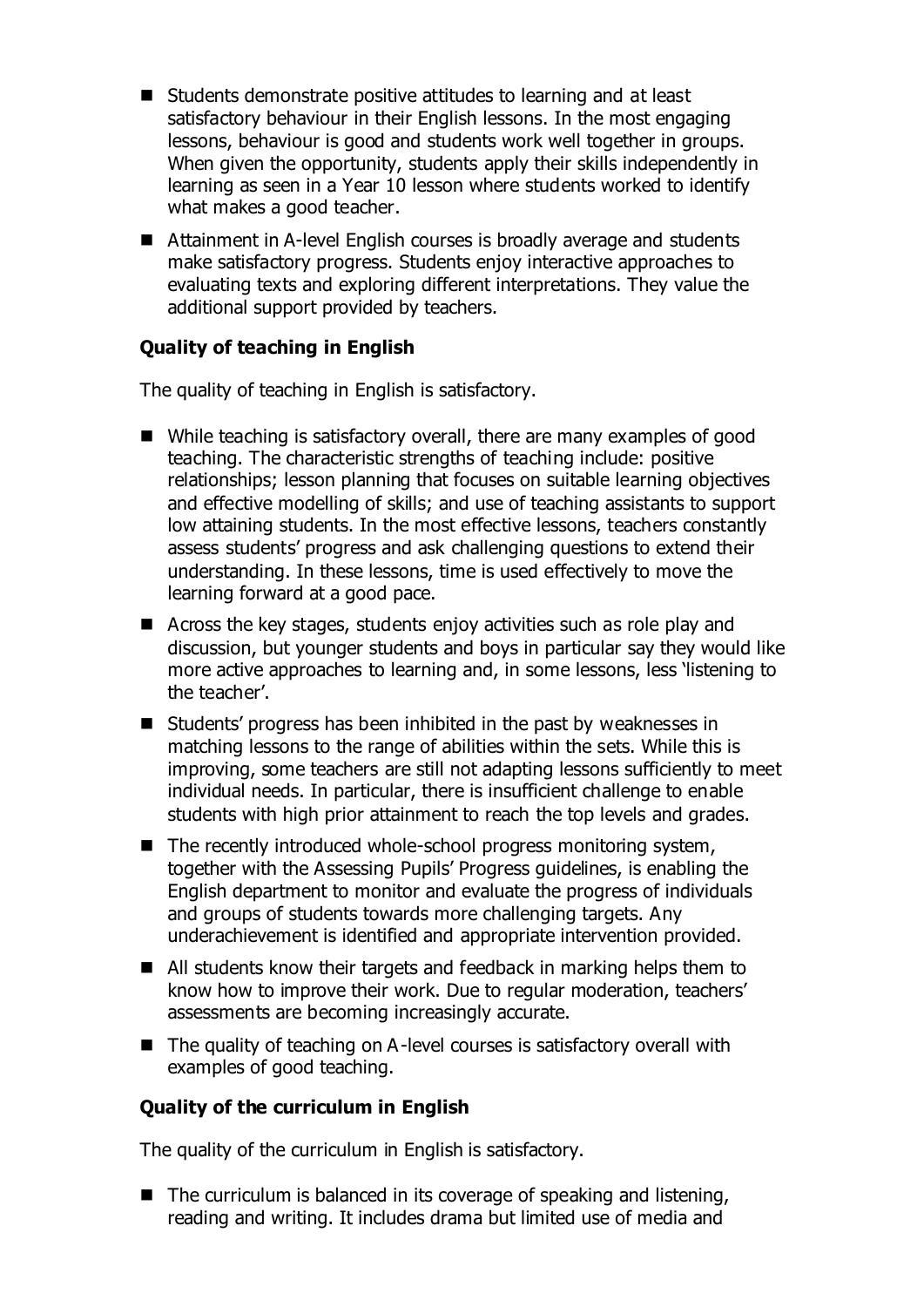- Students demonstrate positive attitudes to learning and at least satisfactory behaviour in their English lessons. In the most engaging lessons, behaviour is good and students work well together in groups. When given the opportunity, students apply their skills independently in learning as seen in a Year 10 lesson where students worked to identify what makes a good teacher.
- Attainment in A-level English courses is broadly average and students make satisfactory progress. Students enjoy interactive approaches to evaluating texts and exploring different interpretations. They value the additional support provided by teachers.

## **Quality of teaching in English**

The quality of teaching in English is satisfactory.

- While teaching is satisfactory overall, there are many examples of good teaching. The characteristic strengths of teaching include: positive relationships; lesson planning that focuses on suitable learning objectives and effective modelling of skills; and use of teaching assistants to support low attaining students. In the most effective lessons, teachers constantly assess students' progress and ask challenging questions to extend their understanding. In these lessons, time is used effectively to move the learning forward at a good pace.
- Across the key stages, students enjoy activities such as role play and discussion, but younger students and boys in particular say they would like more active approaches to learning and, in some lessons, less 'listening to the teacher'.
- Students' progress has been inhibited in the past by weaknesses in matching lessons to the range of abilities within the sets. While this is improving, some teachers are still not adapting lessons sufficiently to meet individual needs. In particular, there is insufficient challenge to enable students with high prior attainment to reach the top levels and grades.
- $\blacksquare$  The recently introduced whole-school progress monitoring system, together with the Assessing Pupils' Progress guidelines, is enabling the English department to monitor and evaluate the progress of individuals and groups of students towards more challenging targets. Any underachievement is identified and appropriate intervention provided.
- All students know their targets and feedback in marking helps them to know how to improve their work. Due to regular moderation, teachers' assessments are becoming increasingly accurate.
- $\blacksquare$  The quality of teaching on A-level courses is satisfactory overall with examples of good teaching.

### **Quality of the curriculum in English**

The quality of the curriculum in English is satisfactory.

 $\blacksquare$  The curriculum is balanced in its coverage of speaking and listening, reading and writing. It includes drama but limited use of media and